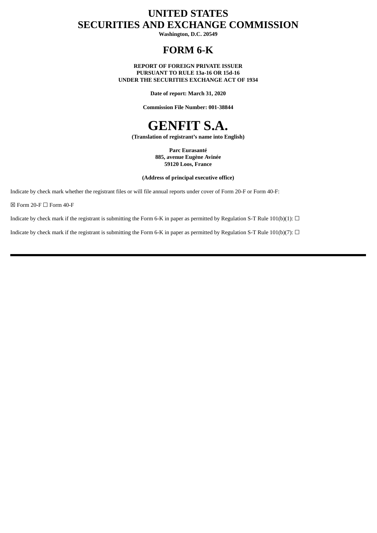# **UNITED STATES SECURITIES AND EXCHANGE COMMISSION**

**Washington, D.C. 20549**

## **FORM 6-K**

**REPORT OF FOREIGN PRIVATE ISSUER PURSUANT TO RULE 13a-16 OR 15d-16 UNDER THE SECURITIES EXCHANGE ACT OF 1934**

**Date of report: March 31, 2020**

**Commission File Number: 001-38844**

# **GENFIT S.A.**

**(Translation of registrant's name into English)**

**Parc Eurasanté 885, avenue Eugène Avinée 59120 Loos, France**

#### **(Address of principal executive office)**

Indicate by check mark whether the registrant files or will file annual reports under cover of Form 20-F or Form 40-F:

 $\boxtimes$  Form 20-F  $\Box$  Form 40-F

Indicate by check mark if the registrant is submitting the Form 6-K in paper as permitted by Regulation S-T Rule 101(b)(1):  $\Box$ 

Indicate by check mark if the registrant is submitting the Form 6-K in paper as permitted by Regulation S-T Rule 101(b)(7):  $\Box$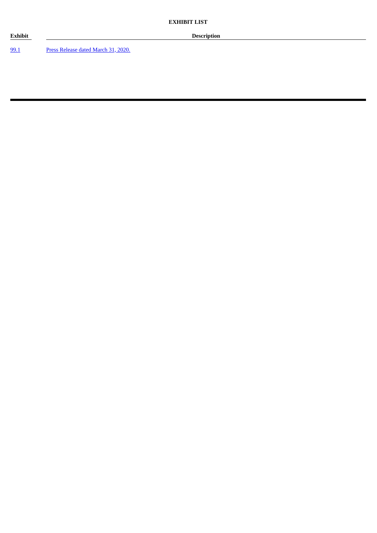[99.1](#page-3-0) Press [Release](#page-3-0) dated March 31, 2020.

**Exhibit Description**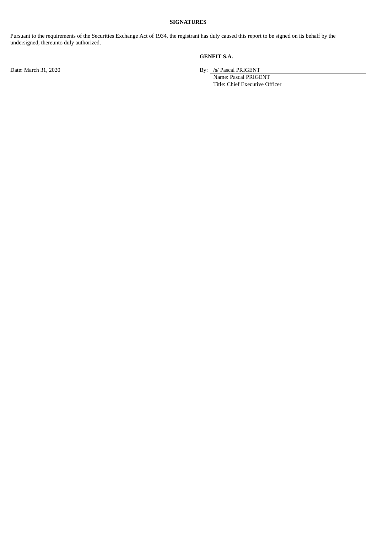#### **SIGNATURES**

Pursuant to the requirements of the Securities Exchange Act of 1934, the registrant has duly caused this report to be signed on its behalf by the undersigned, thereunto duly authorized.

#### **GENFIT S.A.**

Date: March 31, 2020 By: /s/ Pascal PRIGENT

Name: Pascal PRIGENT Title: Chief Executive Officer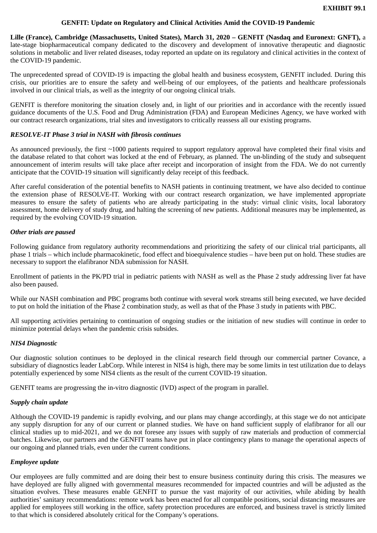#### **GENFIT: Update on Regulatory and Clinical Activities Amid the COVID-19 Pandemic**

<span id="page-3-0"></span>**Lille (France), Cambridge (Massachusetts, United States), March 31, 2020 – GENFIT (Nasdaq and Euronext: GNFT),** a late-stage biopharmaceutical company dedicated to the discovery and development of innovative therapeutic and diagnostic solutions in metabolic and liver related diseases, today reported an update on its regulatory and clinical activities in the context of the COVID-19 pandemic.

The unprecedented spread of COVID-19 is impacting the global health and business ecosystem, GENFIT included. During this crisis, our priorities are to ensure the safety and well-being of our employees, of the patients and healthcare professionals involved in our clinical trials, as well as the integrity of our ongoing clinical trials.

GENFIT is therefore monitoring the situation closely and, in light of our priorities and in accordance with the recently issued guidance documents of the U.S. Food and Drug Administration (FDA) and European Medicines Agency, we have worked with our contract research organizations, trial sites and investigators to critically reassess all our existing programs.

#### *RESOLVE-IT Phase 3 trial in NASH with fibrosis continues*

As announced previously, the first ~1000 patients required to support regulatory approval have completed their final visits and the database related to that cohort was locked at the end of February, as planned. The un-blinding of the study and subsequent announcement of interim results will take place after receipt and incorporation of insight from the FDA. We do not currently anticipate that the COVID-19 situation will significantly delay receipt of this feedback.

After careful consideration of the potential benefits to NASH patients in continuing treatment, we have also decided to continue the extension phase of RESOLVE-IT. Working with our contract research organization, we have implemented appropriate measures to ensure the safety of patients who are already participating in the study: virtual clinic visits, local laboratory assessment, home delivery of study drug, and halting the screening of new patients. Additional measures may be implemented, as required by the evolving COVID-19 situation.

#### *Other trials are paused*

Following guidance from regulatory authority recommendations and prioritizing the safety of our clinical trial participants, all phase 1 trials – which include pharmacokinetic, food effect and bioequivalence studies – have been put on hold. These studies are necessary to support the elafibranor NDA submission for NASH.

Enrollment of patients in the PK/PD trial in pediatric patients with NASH as well as the Phase 2 study addressing liver fat have also been paused.

While our NASH combination and PBC programs both continue with several work streams still being executed, we have decided to put on hold the initiation of the Phase 2 combination study, as well as that of the Phase 3 study in patients with PBC.

All supporting activities pertaining to continuation of ongoing studies or the initiation of new studies will continue in order to minimize potential delays when the pandemic crisis subsides.

#### *NIS4 Diagnostic*

Our diagnostic solution continues to be deployed in the clinical research field through our commercial partner Covance, a subsidiary of diagnostics leader LabCorp. While interest in NIS4 is high, there may be some limits in test utilization due to delays potentially experienced by some NIS4 clients as the result of the current COVID-19 situation.

GENFIT teams are progressing the in-vitro diagnostic (IVD) aspect of the program in parallel.

#### *Supply chain update*

Although the COVID-19 pandemic is rapidly evolving, and our plans may change accordingly, at this stage we do not anticipate any supply disruption for any of our current or planned studies. We have on hand sufficient supply of elafibranor for all our clinical studies up to mid-2021, and we do not foresee any issues with supply of raw materials and production of commercial batches. Likewise, our partners and the GENFIT teams have put in place contingency plans to manage the operational aspects of our ongoing and planned trials, even under the current conditions.

#### *Employee update*

Our employees are fully committed and are doing their best to ensure business continuity during this crisis. The measures we have deployed are fully aligned with governmental measures recommended for impacted countries and will be adjusted as the situation evolves. These measures enable GENFIT to pursue the vast majority of our activities, while abiding by health authorities' sanitary recommendations: remote work has been enacted for all compatible positions, social distancing measures are applied for employees still working in the office, safety protection procedures are enforced, and business travel is strictly limited to that which is considered absolutely critical for the Company's operations.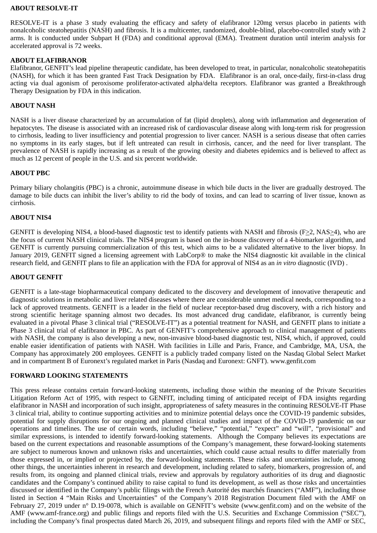#### **ABOUT RESOLVE-IT**

RESOLVE-IT is a phase 3 study evaluating the efficacy and safety of elafibranor 120mg versus placebo in patients with nonalcoholic steatohepatitis (NASH) and fibrosis. It is a multicenter, randomized, double-blind, placebo-controlled study with 2 arms. It is conducted under Subpart H (FDA) and conditional approval (EMA). Treatment duration until interim analysis for accelerated approval is 72 weeks.

#### **ABOUT ELAFIBRANOR**

Elafibranor, GENFIT's lead pipeline therapeutic candidate, has been developed to treat, in particular, nonalcoholic steatohepatitis (NASH), for which it has been granted Fast Track Designation by FDA. Elafibranor is an oral, once-daily, first-in-class drug acting via dual agonism of peroxisome proliferator-activated alpha/delta receptors. Elafibranor was granted a Breakthrough Therapy Designation by FDA in this indication.

#### **ABOUT NASH**

NASH is a liver disease characterized by an accumulation of fat (lipid droplets), along with inflammation and degeneration of hepatocytes. The disease is associated with an increased risk of cardiovascular disease along with long-term risk for progression to cirrhosis, leading to liver insufficiency and potential progression to liver cancer. NASH is a serious disease that often carries no symptoms in its early stages, but if left untreated can result in cirrhosis, cancer, and the need for liver transplant. The prevalence of NASH is rapidly increasing as a result of the growing obesity and diabetes epidemics and is believed to affect as much as 12 percent of people in the U.S. and six percent worldwide.

#### **ABOUT PBC**

Primary biliary cholangitis (PBC) is a chronic, autoimmune disease in which bile ducts in the liver are gradually destroyed. The damage to bile ducts can inhibit the liver's ability to rid the body of toxins, and can lead to scarring of liver tissue, known as cirrhosis.

#### **ABOUT NIS4**

GENFIT is developing NIS4, a blood-based diagnostic test to identify patients with NASH and fibrosis ( $F > 2$ , NAS $> 4$ ), who are the focus of current NASH clinical trials. The NIS4 program is based on the in-house discovery of a 4-biomarker algorithm, and GENFIT is currently pursuing commercialization of this test, which aims to be a validated alternative to the liver biopsy. In January 2019, GENFIT signed a licensing agreement with LabCorp® to make the NIS4 diagnostic kit available in the clinical research field, and GENFIT plans to file an application with the FDA for approval of NIS4 as an *in vitro* diagnostic (IVD) .

#### **ABOUT GENFIT**

GENFIT is a late-stage biopharmaceutical company dedicated to the discovery and development of innovative therapeutic and diagnostic solutions in metabolic and liver related diseases where there are considerable unmet medical needs, corresponding to a lack of approved treatments. GENFIT is a leader in the field of nuclear receptor-based drug discovery, with a rich history and strong scientific heritage spanning almost two decades. Its most advanced drug candidate, elafibranor, is currently being evaluated in a pivotal Phase 3 clinical trial ("RESOLVE-IT") as a potential treatment for NASH, and GENFIT plans to initiate a Phase 3 clinical trial of elafibranor in PBC. As part of GENFIT's comprehensive approach to clinical management of patients with NASH, the company is also developing a new, non-invasive blood-based diagnostic test, NIS4, which, if approved, could enable easier identification of patients with NASH. With facilities in Lille and Paris, France, and Cambridge, MA, USA, the Company has approximately 200 employees. GENFIT is a publicly traded company listed on the Nasdaq Global Select Market and in compartment B of Euronext's regulated market in Paris (Nasdaq and Euronext: GNFT). www.genfit.com

#### **FORWARD LOOKING STATEMENTS**

This press release contains certain forward-looking statements, including those within the meaning of the Private Securities Litigation Reform Act of 1995, with respect to GENFIT, including timing of anticipated receipt of FDA insights regarding elafibranor in NASH and incorporation of such insight, appropriateness of safety measures in the continuing RESOLVE-IT Phase 3 clinical trial, ability to continue supporting activities and to minimize potential delays once the COVID-19 pandemic subsides, potential for supply disruptions for our ongoing and planned clinical studies and impact of the COVID-19 pandemic on our operations and timelines. The use of certain words, including "believe," "potential," "expect" and "will", "provisional" and similar expressions, is intended to identify forward-looking statements. Although the Company believes its expectations are based on the current expectations and reasonable assumptions of the Company's management, these forward-looking statements are subject to numerous known and unknown risks and uncertainties, which could cause actual results to differ materially from those expressed in, or implied or projected by, the forward-looking statements. These risks and uncertainties include, among other things, the uncertainties inherent in research and development, including related to safety, biomarkers, progression of, and results from, its ongoing and planned clinical trials, review and approvals by regulatory authorities of its drug and diagnostic candidates and the Company's continued ability to raise capital to fund its development, as well as those risks and uncertainties discussed or identified in the Company's public filings with the French Autorité des marchés financiers ("AMF"), including those listed in Section 4 "Main Risks and Uncertainties" of the Company's 2018 Registration Document filed with the AMF on February 27, 2019 under n° D.19-0078, which is available on GENFIT's website (www.genfit.com) and on the website of the AMF (www.amf-france.org) and public filings and reports filed with the U.S. Securities and Exchange Commission ("SEC"), including the Company's final prospectus dated March 26, 2019, and subsequent filings and reports filed with the AMF or SEC,